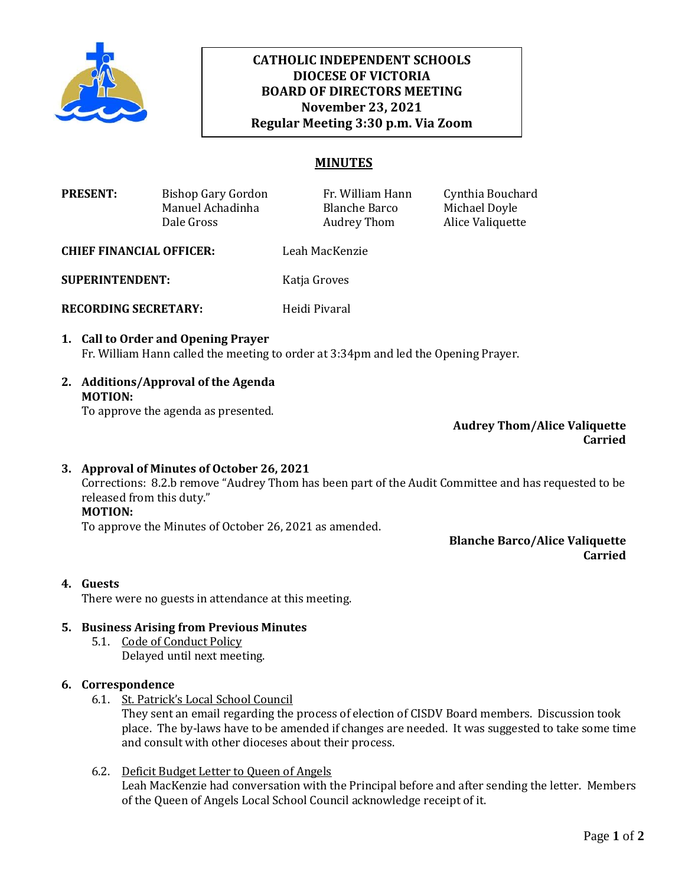

# **November 23, 2021 CATHOLIC INDEPENDENT SCHOOLS DIOCESE OF VICTORIA BOARD OF DIRECTORS MEETING Regular Meeting 3:30 p.m. Via Zoom**

## **MINUTES**

| <b>PRESENT:</b> | Bishop Gary Gordon | Fr. William Hann | Cynthia Bouchard |
|-----------------|--------------------|------------------|------------------|
|                 | Manuel Achadinha   | Blanche Barco    | Michael Doyle    |
|                 | Dale Gross         | Audrey Thom      | Alice Valiquette |

**CHIEF FINANCIAL OFFICER:** Leah MacKenzie

**SUPERINTENDENT:** Katja Groves

**RECORDING SECRETARY:** Heidi Pivaral

- **1. Call to Order and Opening Prayer**  Fr. William Hann called the meeting to order at 3:34pm and led the Opening Prayer.
- **2. Additions/Approval of the Agenda MOTION:**

To approve the agenda as presented.

**Audrey Thom/Alice Valiquette Carried**

## **3. Approval of Minutes of October 26, 2021**

Corrections: 8.2.b remove "Audrey Thom has been part of the Audit Committee and has requested to be released from this duty."

# **MOTION:**

To approve the Minutes of October 26, 2021 as amended.

**Blanche Barco/Alice Valiquette Carried**

## **4. Guests**

There were no guests in attendance at this meeting.

## **5. Business Arising from Previous Minutes**

5.1. Code of Conduct Policy Delayed until next meeting.

## **6. Correspondence**

6.1. St. Patrick's Local School Council

They sent an email regarding the process of election of CISDV Board members. Discussion took place. The by-laws have to be amended if changes are needed. It was suggested to take some time and consult with other dioceses about their process.

6.2. Deficit Budget Letter to Queen of Angels Leah MacKenzie had conversation with the Principal before and after sending the letter. Members of the Queen of Angels Local School Council acknowledge receipt of it.